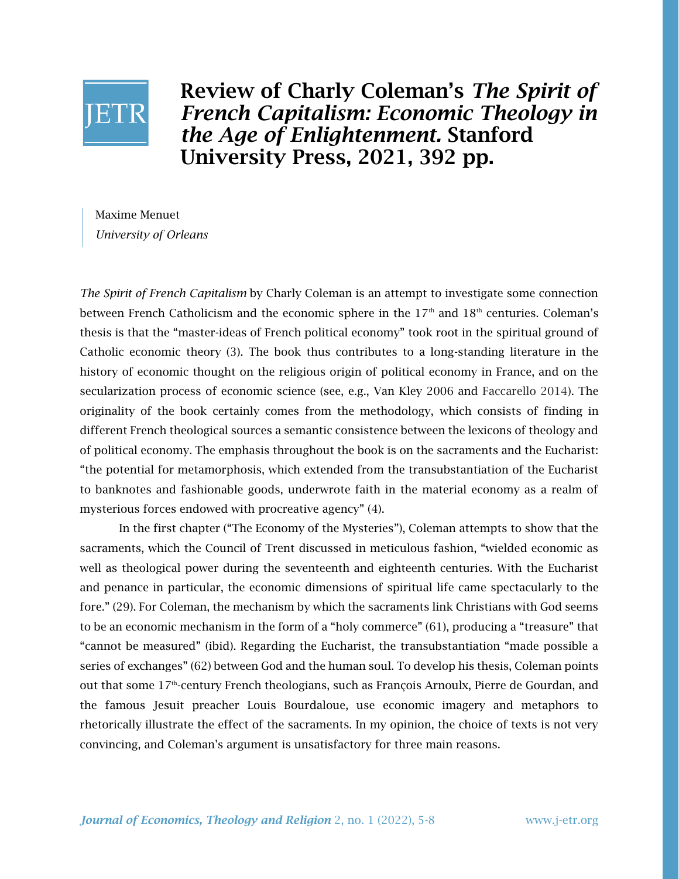

Review of Charly Coleman's *The Spirit of French Capitalism: Economic Theology in the Age of Enlightenment.* Stanford University Press, 2021, 392 pp.

Maxime Menuet *University of Orleans*

*The Spirit of French Capitalism* by Charly Coleman is an attempt to investigate some connection between French Catholicism and the economic sphere in the  $17<sup>th</sup>$  and  $18<sup>th</sup>$  centuries. Coleman's thesis is that the "master-ideas of French political economy" took root in the spiritual ground of Catholic economic theory (3). The book thus contributes to a long-standing literature in the history of economic thought on the religious origin of political economy in France, and on the secularization process of economic science (see, e.g., Van Kley 2006 and Faccarello 2014). The originality of the book certainly comes from the methodology, which consists of finding in different French theological sources a semantic consistence between the lexicons of theology and of political economy. The emphasis throughout the book is on the sacraments and the Eucharist: "the potential for metamorphosis, which extended from the transubstantiation of the Eucharist to banknotes and fashionable goods, underwrote faith in the material economy as a realm of mysterious forces endowed with procreative agency" (4).

In the first chapter ("The Economy of the Mysteries"), Coleman attempts to show that the sacraments, which the Council of Trent discussed in meticulous fashion, "wielded economic as well as theological power during the seventeenth and eighteenth centuries. With the Eucharist and penance in particular, the economic dimensions of spiritual life came spectacularly to the fore." (29). For Coleman, the mechanism by which the sacraments link Christians with God seems to be an economic mechanism in the form of a "holy commerce" (61), producing a "treasure" that "cannot be measured" (ibid). Regarding the Eucharist, the transubstantiation "made possible a series of exchanges" (62) between God and the human soul. To develop his thesis, Coleman points out that some 17<sup>th</sup>-century French theologians, such as François Arnoulx, Pierre de Gourdan, and the famous Jesuit preacher Louis Bourdaloue, use economic imagery and metaphors to rhetorically illustrate the effect of the sacraments. In my opinion, the choice of texts is not very convincing, and Coleman's argument is unsatisfactory for three main reasons.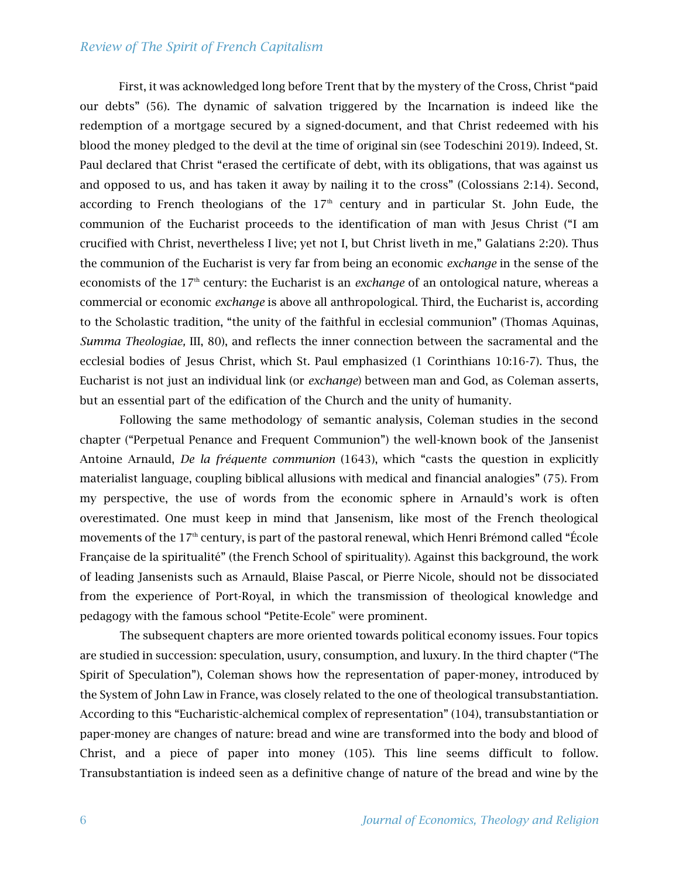## *Review of The Spirit of French Capitalism*

First, it was acknowledged long before Trent that by the mystery of the Cross, Christ "paid our debts" (56). The dynamic of salvation triggered by the Incarnation is indeed like the redemption of a mortgage secured by a signed-document, and that Christ redeemed with his blood the money pledged to the devil at the time of original sin (see Todeschini 2019). Indeed, St. Paul declared that Christ "erased the certificate of debt, with its obligations, that was against us and opposed to us, and has taken it away by nailing it to the cross" (Colossians 2:14). Second, according to French theologians of the  $17<sup>th</sup>$  century and in particular St. John Eude, the communion of the Eucharist proceeds to the identification of man with Jesus Christ ("I am crucified with Christ, nevertheless I live; yet not I, but Christ liveth in me," Galatians 2:20). Thus the communion of the Eucharist is very far from being an economic *exchange* in the sense of the economists of the 17<sup>th</sup> century: the Eucharist is an *exchange* of an ontological nature, whereas a commercial or economic *exchange* is above all anthropological. Third, the Eucharist is, according to the Scholastic tradition, "the unity of the faithful in ecclesial communion" (Thomas Aquinas, *Summa Theologiae,* III, 80), and reflects the inner connection between the sacramental and the ecclesial bodies of Jesus Christ, which St. Paul emphasized (1 Corinthians 10:16-7). Thus, the Eucharist is not just an individual link (or *exchange*) between man and God, as Coleman asserts, but an essential part of the edification of the Church and the unity of humanity.

Following the same methodology of semantic analysis, Coleman studies in the second chapter ("Perpetual Penance and Frequent Communion") the well-known book of the Jansenist Antoine Arnauld, *De la fréquente communion* (1643), which "casts the question in explicitly materialist language, coupling biblical allusions with medical and financial analogies" (75). From my perspective, the use of words from the economic sphere in Arnauld's work is often overestimated. One must keep in mind that Jansenism, like most of the French theological movements of the  $17<sup>th</sup>$  century, is part of the pastoral renewal, which Henri Brémond called "École Française de la spiritualité" (the French School of spirituality). Against this background, the work of leading Jansenists such as Arnauld, Blaise Pascal, or Pierre Nicole, should not be dissociated from the experience of Port-Royal, in which the transmission of theological knowledge and pedagogy with the famous school "Petite-Ecole" were prominent.

The subsequent chapters are more oriented towards political economy issues. Four topics are studied in succession: speculation, usury, consumption, and luxury. In the third chapter ("The Spirit of Speculation"), Coleman shows how the representation of paper-money, introduced by the System of John Law in France, was closely related to the one of theological transubstantiation. According to this "Eucharistic-alchemical complex of representation" (104), transubstantiation or paper-money are changes of nature: bread and wine are transformed into the body and blood of Christ, and a piece of paper into money (105). This line seems difficult to follow. Transubstantiation is indeed seen as a definitive change of nature of the bread and wine by the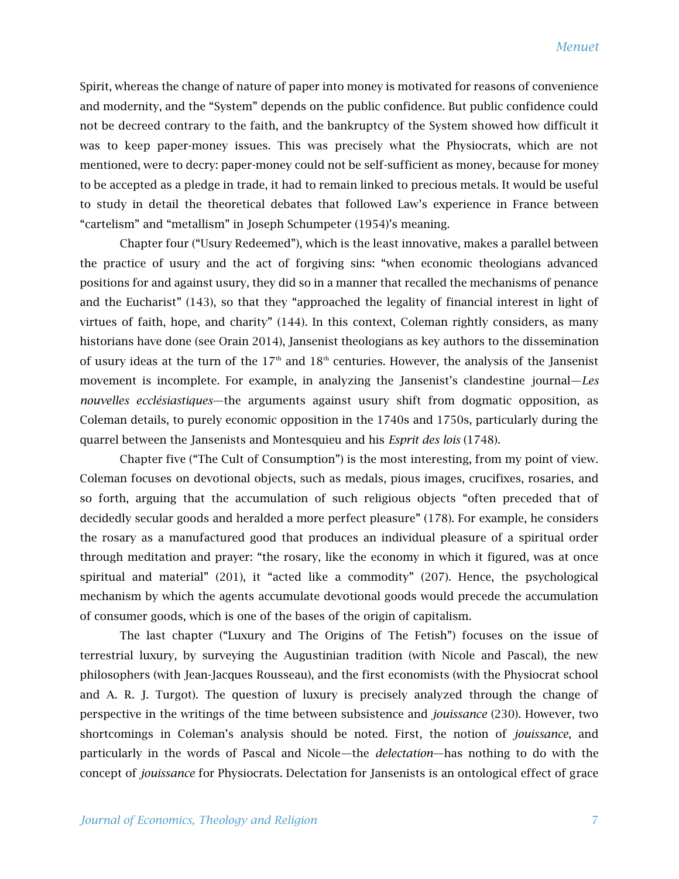Spirit, whereas the change of nature of paper into money is motivated for reasons of convenience and modernity, and the "System" depends on the public confidence. But public confidence could not be decreed contrary to the faith, and the bankruptcy of the System showed how difficult it was to keep paper-money issues. This was precisely what the Physiocrats, which are not mentioned, were to decry: paper-money could not be self-sufficient as money, because for money to be accepted as a pledge in trade, it had to remain linked to precious metals. It would be useful to study in detail the theoretical debates that followed Law's experience in France between "cartelism" and "metallism" in Joseph Schumpeter (1954)'s meaning.

Chapter four ("Usury Redeemed"), which is the least innovative, makes a parallel between the practice of usury and the act of forgiving sins: "when economic theologians advanced positions for and against usury, they did so in a manner that recalled the mechanisms of penance and the Eucharist" (143), so that they "approached the legality of financial interest in light of virtues of faith, hope, and charity" (144). In this context, Coleman rightly considers, as many historians have done (see Orain 2014), Jansenist theologians as key authors to the dissemination of usury ideas at the turn of the  $17<sup>th</sup>$  and  $18<sup>th</sup>$  centuries. However, the analysis of the Jansenist movement is incomplete. For example, in analyzing the Jansenist's clandestine journal—*Les nouvelles ecclésiastiques*—the arguments against usury shift from dogmatic opposition, as Coleman details, to purely economic opposition in the 1740s and 1750s, particularly during the quarrel between the Jansenists and Montesquieu and his *Esprit des lois* (1748).

Chapter five ("The Cult of Consumption") is the most interesting, from my point of view. Coleman focuses on devotional objects, such as medals, pious images, crucifixes, rosaries, and so forth, arguing that the accumulation of such religious objects "often preceded that of decidedly secular goods and heralded a more perfect pleasure" (178). For example, he considers the rosary as a manufactured good that produces an individual pleasure of a spiritual order through meditation and prayer: "the rosary, like the economy in which it figured, was at once spiritual and material" (201), it "acted like a commodity" (207). Hence, the psychological mechanism by which the agents accumulate devotional goods would precede the accumulation of consumer goods, which is one of the bases of the origin of capitalism.

The last chapter ("Luxury and The Origins of The Fetish") focuses on the issue of terrestrial luxury, by surveying the Augustinian tradition (with Nicole and Pascal), the new philosophers (with Jean-Jacques Rousseau), and the first economists (with the Physiocrat school and A. R. J. Turgot). The question of luxury is precisely analyzed through the change of perspective in the writings of the time between subsistence and *jouissance* (230). However, two shortcomings in Coleman's analysis should be noted. First, the notion of *jouissance*, and particularly in the words of Pascal and Nicole—the *delectation*—has nothing to do with the concept of *jouissance* for Physiocrats. Delectation for Jansenists is an ontological effect of grace